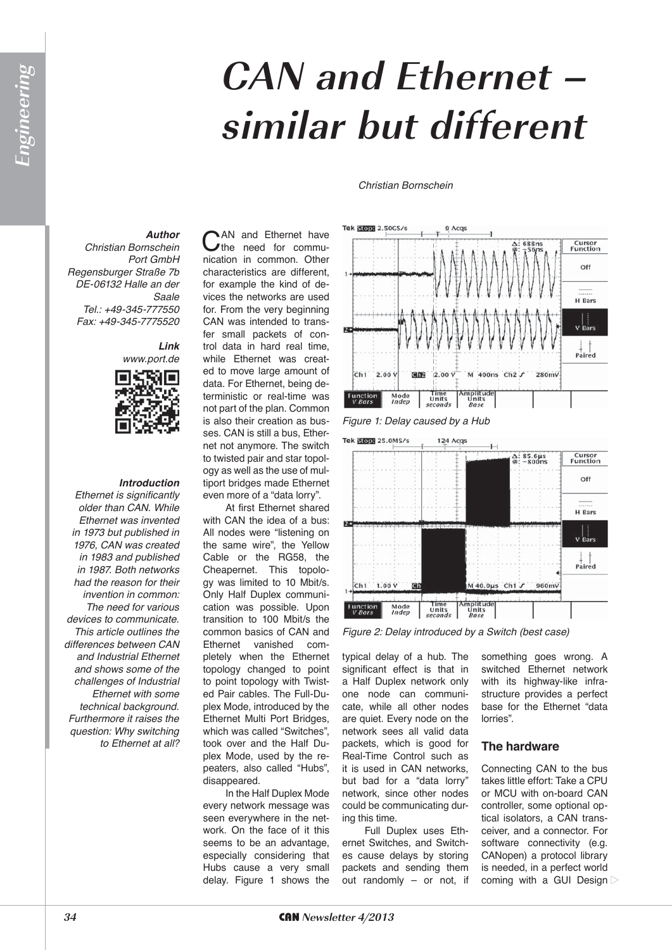# **CAN and Ethernet – similar but different**

#### *Christian Bornschein*

### *Author*

*Christian Bornschein Port GmbH Regensburger Straße 7b DE-06132 Halle an der Saale Tel.: +49-345-777550 Fax: +49-345-7775520*

## *Link*



#### *Introduction*

*Ethernet is significantly older than CAN. While Ethernet was invented in 1973 but published in 1976, CAN was created in 1983 and published in 1987. Both networks had the reason for their invention in common: The need for various devices to communicate. This article outlines the differences between CAN and Industrial Ethernet and shows some of the challenges of Industrial Ethernet with some technical background. Furthermore it raises the question: Why switching to Ethernet at all?*

CAN and Ethernet have<br>
the need for communication in common. Other characteristics are different, for example the kind of devices the networks are used for. From the very beginning CAN was intended to transfer small packets of control data in hard real time, while Ethernet was created to move large amount of data. For Ethernet, being deterministic or real-time was not part of the plan. Common is also their creation as busses. CAN is still a bus, Ethernet not anymore. The switch to twisted pair and star topology as well as the use of multiport bridges made Ethernet even more of a "data lorry".

At first Ethernet shared with CAN the idea of a bus: All nodes were "listening on the same wire", the Yellow Cable or the RG58, the Cheapernet. This topology was limited to 10 Mbit/s. Only Half Duplex communication was possible. Upon transition to 100 Mbit/s the common basics of CAN and Ethernet vanished completely when the Ethernet topology changed to point to point topology with Twisted Pair cables. The Full-Duplex Mode, introduced by the Ethernet Multi Port Bridges, which was called "Switches", took over and the Half Duplex Mode, used by the repeaters, also called "Hubs", disappeared.

In the Half Duplex Mode every network message was seen everywhere in the network. On the face of it this seems to be an advantage, especially considering that Hubs cause a very small delay. Figure 1 shows the



*Figure 1: Delay caused by a Hub*



*Figure 2: Delay introduced by a Switch (best case)*

typical delay of a hub. The significant effect is that in a Half Duplex network only one node can communicate, while all other nodes are quiet. Every node on the network sees all valid data packets, which is good for Real-Time Control such as it is used in CAN networks, but bad for a "data lorry" network, since other nodes could be communicating during this time.

Full Duplex uses Ethernet Switches, and Switches cause delays by storing packets and sending them out randomly – or not, if something goes wrong. A switched Ethernet network with its highway-like infrastructure provides a perfect base for the Ethernet "data lorries".

#### **The hardware**

Connecting CAN to the bus takes little effort: Take a CPU or MCU with on-board CAN controller, some optional optical isolators, a CAN transceiver, and a connector. For software connectivity (e.g. CANopen) a protocol library is needed, in a perfect world coming with a GUI Design